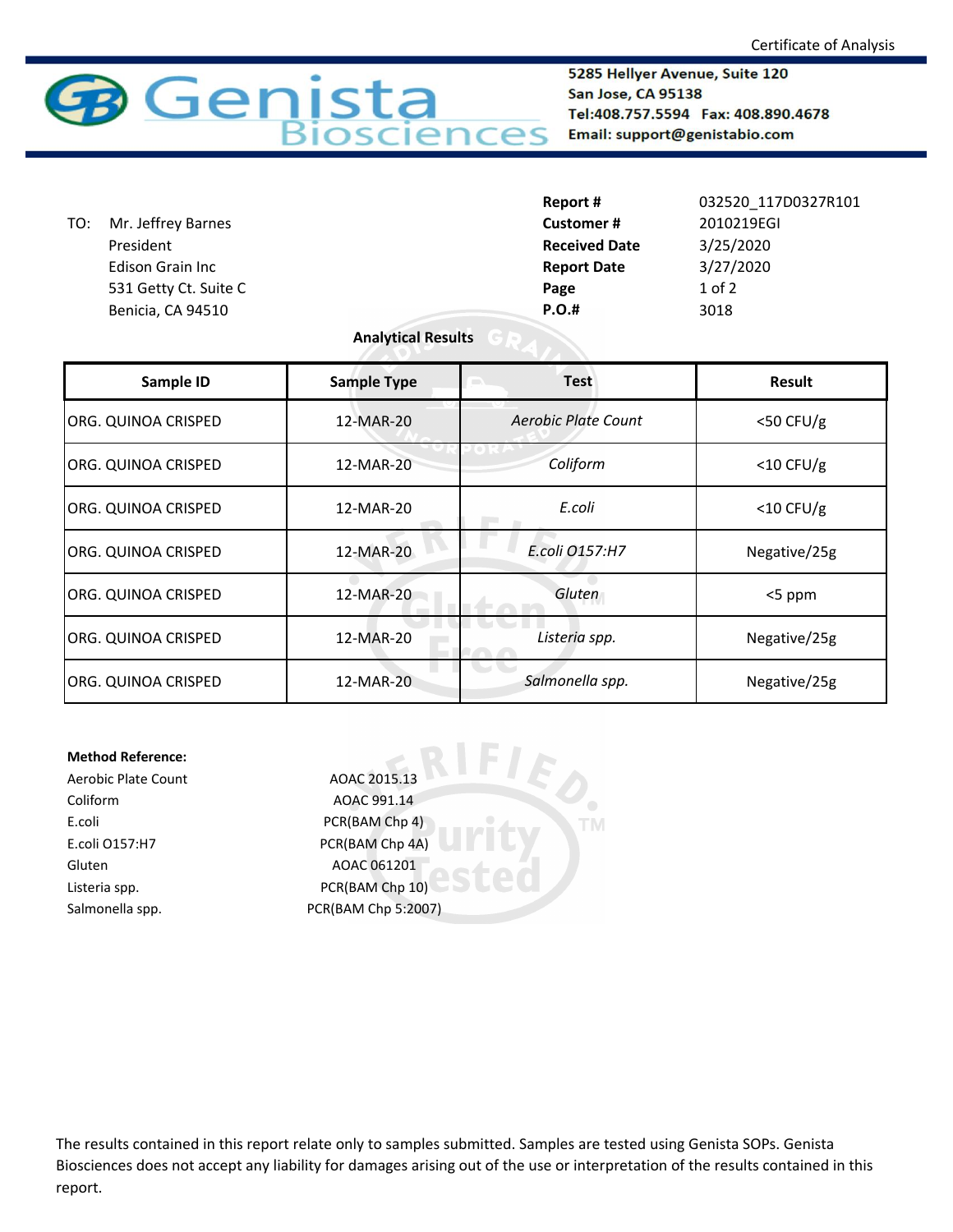

5285 Hellyer Avenue, Suite 120 San Jose, CA 95138 Tel:408.757.5594 Fax: 408.890.4678 Email: support@genistabio.com

|     |                         | Report #             | 032520 117D0327R101 |
|-----|-------------------------|----------------------|---------------------|
| TO: | Mr. Jeffrey Barnes      | <b>Customer#</b>     | 2010219EGI          |
|     | President               | <b>Received Date</b> | 3/25/2020           |
|     | <b>Edison Grain Inc</b> | <b>Report Date</b>   | 3/27/2020           |
|     | 531 Getty Ct. Suite C   | Page                 | $1$ of $2$          |
|     | Benicia, CA 94510       | <b>P.O.#</b>         | 3018                |
|     |                         |                      |                     |

## **Analytical Results**

| Sample ID           | <b>Sample Type</b> | <b>Test</b>         | <b>Result</b> |
|---------------------|--------------------|---------------------|---------------|
| ORG. QUINOA CRISPED | 12-MAR-20          | Aerobic Plate Count | $<$ 50 CFU/g  |
| ORG. QUINOA CRISPED | 12-MAR-20          | Coliform            | $<$ 10 CFU/g  |
| ORG. QUINOA CRISPED | 12-MAR-20          | E.coli              | $<$ 10 CFU/g  |
| ORG. QUINOA CRISPED | 12-MAR-20          | E.coli 0157:H7      | Negative/25g  |
| ORG. QUINOA CRISPED | 12-MAR-20          | Gluten              | <5 ppm        |
| ORG. QUINOA CRISPED | 12-MAR-20          | Listeria spp.       | Negative/25g  |
| ORG. QUINOA CRISPED | 12-MAR-20          | Salmonella spp.     | Negative/25g  |

**TM** 

## **Method Reference:**

Coliform AOAC 991.14 E.coli PCR(BAM Chp 4) E.coli O157:H7 PCR(BAM Chp 4A) Gluten AOAC 061201 Listeria spp. The CR(BAM Chp 10)

Aerobic Plate Count AOAC 2015.13 Salmonella spp. PCR(BAM Chp 5:2007)

The results contained in this report relate only to samples submitted. Samples are tested using Genista SOPs. Genista Biosciences does not accept any liability for damages arising out of the use or interpretation of the results contained in this report.